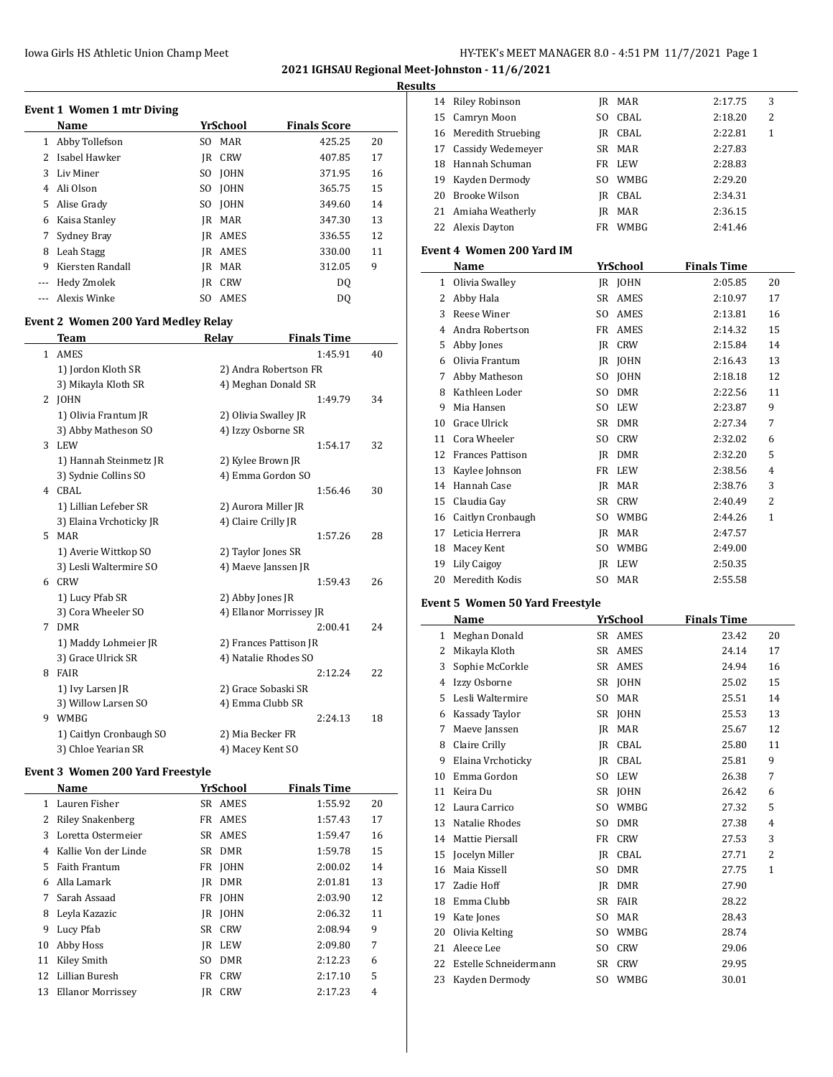### Iowa Girls HS Athletic Union Champ Meet **Hy-TEK's MEET MANAGER 8.0 - 4:51 PM 11/7/2021** Page 1

**2021 IGHSAU Regional Meet-Johnston - 11/6/2021**

#### **Results**

| Event 1 Women 1 mtr Diving |                  |     |             |                     |    |  |
|----------------------------|------------------|-----|-------------|---------------------|----|--|
|                            | Name             |     | YrSchool    | <b>Finals Score</b> |    |  |
| 1                          | Abby Tollefson   | SO. | <b>MAR</b>  | 425.25              | 20 |  |
| 2                          | Isabel Hawker    | IR  | <b>CRW</b>  | 407.85              | 17 |  |
| 3                          | Liv Miner        | SO. | <b>JOHN</b> | 371.95              | 16 |  |
| 4                          | Ali Olson        | SO. | <b>JOHN</b> | 365.75              | 15 |  |
| 5.                         | Alise Grady      | SO. | <b>JOHN</b> | 349.60              | 14 |  |
| 6                          | Kaisa Stanley    | IR  | MAR         | 347.30              | 13 |  |
| 7                          | Sydney Bray      | IR  | AMES        | 336.55              | 12 |  |
| 8                          | Leah Stagg       | IR  | AMES        | 330.00              | 11 |  |
| 9                          | Kiersten Randall | IR  | MAR         | 312.05              | 9  |  |
| $---$                      | Hedy Zmolek      | IR  | <b>CRW</b>  | DQ                  |    |  |
|                            | Alexis Winke     | SO. | AMES        | DO.                 |    |  |

# **Event 2 Women 200 Yard Medley Relay**

|              | Team                    | Relay                   | <b>Finals Time</b> |    |
|--------------|-------------------------|-------------------------|--------------------|----|
| $\mathbf{1}$ | AMES                    |                         | 1:45.91            | 40 |
|              | 1) Jordon Kloth SR      | 2) Andra Robertson FR   |                    |    |
|              | 3) Mikayla Kloth SR     | 4) Meghan Donald SR     |                    |    |
| 2            | <b>JOHN</b>             |                         | 1:49.79            | 34 |
|              | 1) Olivia Frantum JR    | 2) Olivia Swalley JR    |                    |    |
|              | 3) Abby Matheson SO     | 4) Izzy Osborne SR      |                    |    |
| 3            | LEW                     |                         | 1:54.17            | 32 |
|              | 1) Hannah Steinmetz JR  | 2) Kylee Brown JR       |                    |    |
|              | 3) Sydnie Collins SO    | 4) Emma Gordon SO       |                    |    |
| 4            | CBAL                    |                         | 1:56.46            | 30 |
|              | 1) Lillian Lefeber SR   | 2) Aurora Miller JR     |                    |    |
|              | 3) Elaina Vrchoticky JR | 4) Claire Crilly JR     |                    |    |
| 5.           | <b>MAR</b>              |                         | 1:57.26            | 28 |
|              | 1) Averie Wittkop SO    | 2) Taylor Jones SR      |                    |    |
|              | 3) Lesli Waltermire SO  | 4) Maeve Janssen JR     |                    |    |
| 6            | CRW                     |                         | 1:59.43            | 26 |
|              | 1) Lucy Pfab SR         | 2) Abby Jones JR        |                    |    |
|              | 3) Cora Wheeler SO      | 4) Ellanor Morrissey JR |                    |    |
| 7            | <b>DMR</b>              |                         | 2:00.41            | 24 |
|              | 1) Maddy Lohmeier JR    | 2) Frances Pattison JR  |                    |    |
|              | 3) Grace Ulrick SR      | 4) Natalie Rhodes SO    |                    |    |
| 8            | FAIR                    |                         | 2:12.24            | 22 |
|              | 1) Ivy Larsen JR        | 2) Grace Sobaski SR     |                    |    |
|              | 3) Willow Larsen SO     | 4) Emma Clubb SR        |                    |    |
| 9            | WMBG                    |                         | 2:24.13            | 18 |
|              | 1) Caitlyn Cronbaugh SO | 2) Mia Becker FR        |                    |    |
|              | 3) Chloe Yearian SR     | 4) Macey Kent SO        |                    |    |

## **Event 3 Women 200 Yard Freestyle**

|    | Name                    |    | YrSchool    | <b>Finals Time</b> |    |
|----|-------------------------|----|-------------|--------------------|----|
| 1. | Lauren Fisher           |    | SR AMES     | 1:55.92            | 20 |
| 2  | <b>Riley Snakenberg</b> | FR | AMES        | 1:57.43            | 17 |
| 3  | Loretta Ostermeier      | SR | AMES        | 1:59.47            | 16 |
| 4  | Kallie Von der Linde    | SR | <b>DMR</b>  | 1:59.78            | 15 |
| 5. | <b>Faith Frantum</b>    |    | FR JOHN     | 2:00.02            | 14 |
| 6  | Alla Lamark             | IR | <b>DMR</b>  | 2:01.81            | 13 |
| 7  | Sarah Assaad            | FR | <b>JOHN</b> | 2:03.90            | 12 |
| 8  | Leyla Kazazic           | IR | JOHN        | 2:06.32            | 11 |
| 9  | Lucy Pfab               | SR | <b>CRW</b>  | 2:08.94            | 9  |
| 10 | Abby Hoss               | IR | LEW         | 2:09.80            | 7  |
| 11 | Kiley Smith             | SO | <b>DMR</b>  | 2:12.23            | 6  |
| 12 | Lillian Buresh          | FR | <b>CRW</b>  | 2:17.10            | 5  |
| 13 | Ellanor Morrissey       | IR | <b>CRW</b>  | 2:17.23            | 4  |
|    |                         |    |             |                    |    |

|    | 14 Riley Robinson     | IR  | MAR         | 2:17.75 | 3 |
|----|-----------------------|-----|-------------|---------|---|
|    | 15 Camryn Moon        |     | SO CBAL     | 2:18.20 | 2 |
|    | 16 Meredith Struebing | IR  | CBAL        | 2:22.81 | 1 |
| 17 | Cassidy Wedemeyer     |     | SR MAR      | 2:27.83 |   |
| 18 | Hannah Schuman        |     | FR LEW      | 2:28.83 |   |
| 19 | Kayden Dermody        | SO. | <b>WMBG</b> | 2:29.20 |   |
| 20 | <b>Brooke Wilson</b>  | IR  | CBAL        | 2:34.31 |   |
|    | 21 Amiaha Weatherly   | IR  | MAR         | 2:36.15 |   |
| 22 | Alexis Dayton         | FR. | <b>WMBG</b> | 2:41.46 |   |
|    |                       |     |             |         |   |

# **Event 4 Women 200 Yard IM**

|    | Name                    |                | YrSchool    | Finals Time |    |
|----|-------------------------|----------------|-------------|-------------|----|
| 1  | Olivia Swalley          | IR             | <b>JOHN</b> | 2:05.85     | 20 |
| 2  | Abby Hala               | SR             | AMES        | 2:10.97     | 17 |
| 3  | Reese Winer             | SO.            | AMES        | 2:13.81     | 16 |
| 4  | Andra Robertson         | FR             | AMES        | 2:14.32     | 15 |
| 5  | Abby Jones              | IR             | <b>CRW</b>  | 2:15.84     | 14 |
| 6  | Olivia Frantum          | IR             | <b>JOHN</b> | 2:16.43     | 13 |
| 7  | Abby Matheson           | SO.            | <b>JOHN</b> | 2:18.18     | 12 |
| 8  | Kathleen Loder          | SO.            | <b>DMR</b>  | 2:22.56     | 11 |
| 9  | Mia Hansen              | SO.            | <b>LEW</b>  | 2:23.87     | 9  |
| 10 | Grace Ulrick            | SR             | <b>DMR</b>  | 2:27.34     | 7  |
| 11 | Cora Wheeler            | S <sub>O</sub> | <b>CRW</b>  | 2:32.02     | 6  |
| 12 | <b>Frances Pattison</b> | IR             | <b>DMR</b>  | 2:32.20     | 5  |
| 13 | Kaylee Johnson          | FR             | <b>LEW</b>  | 2:38.56     | 4  |
| 14 | Hannah Case             | IR             | MAR         | 2:38.76     | 3  |
| 15 | Claudia Gay             | SR             | <b>CRW</b>  | 2:40.49     | 2  |
| 16 | Caitlyn Cronbaugh       | SO.            | WMBG        | 2:44.26     | 1  |
| 17 | Leticia Herrera         | JR             | MAR         | 2:47.57     |    |
| 18 | Macey Kent              | SO.            | <b>WMBG</b> | 2:49.00     |    |
| 19 | Lily Caigoy             | JR             | <b>LEW</b>  | 2:50.35     |    |
| 20 | Meredith Kodis          | SO.            | <b>MAR</b>  | 2:55.58     |    |

## **Event 5 Women 50 Yard Freestyle**

|    | Name                  |                | YrSchool    | <b>Finals Time</b> |    |
|----|-----------------------|----------------|-------------|--------------------|----|
| 1  | Meghan Donald         |                | SR AMES     | 23.42              | 20 |
| 2  | Mikayla Kloth         | <b>SR</b>      | AMES        | 24.14              | 17 |
| 3  | Sophie McCorkle       | <b>SR</b>      | AMES        | 24.94              | 16 |
| 4  | Izzy Osborne          | SR             | <b>JOHN</b> | 25.02              | 15 |
| 5  | Lesli Waltermire      | SO.            | <b>MAR</b>  | 25.51              | 14 |
| 6  | Kassady Taylor        | SR             | <b>JOHN</b> | 25.53              | 13 |
| 7  | Maeve Janssen         | IR             | <b>MAR</b>  | 25.67              | 12 |
| 8  | Claire Crilly         | IR             | CBAL        | 25.80              | 11 |
| 9  | Elaina Vrchoticky     | <b>IR</b>      | CBAL        | 25.81              | 9  |
| 10 | Emma Gordon           | S <sub>O</sub> | LEW         | 26.38              | 7  |
| 11 | Keira Du              | <b>SR</b>      | <b>JOHN</b> | 26.42              | 6  |
| 12 | Laura Carrico         | SO.            | <b>WMBG</b> | 27.32              | 5  |
| 13 | Natalie Rhodes        | S <sub>O</sub> | <b>DMR</b>  | 27.38              | 4  |
| 14 | Mattie Piersall       | FR             | <b>CRW</b>  | 27.53              | 3  |
| 15 | Jocelyn Miller        | <b>IR</b>      | <b>CBAL</b> | 27.71              | 2  |
| 16 | Maia Kissell          | S <sub>O</sub> | <b>DMR</b>  | 27.75              | 1  |
| 17 | Zadie Hoff            | IR             | <b>DMR</b>  | 27.90              |    |
| 18 | Emma Clubb            | <b>SR</b>      | <b>FAIR</b> | 28.22              |    |
| 19 | Kate Jones            | SO.            | <b>MAR</b>  | 28.43              |    |
| 20 | Olivia Kelting        | S <sub>O</sub> | <b>WMBG</b> | 28.74              |    |
| 21 | Aleece Lee            | SO.            | <b>CRW</b>  | 29.06              |    |
| 22 | Estelle Schneidermann | <b>SR</b>      | <b>CRW</b>  | 29.95              |    |
| 23 | Kayden Dermody        | S <sub>O</sub> | WMBG        | 30.01              |    |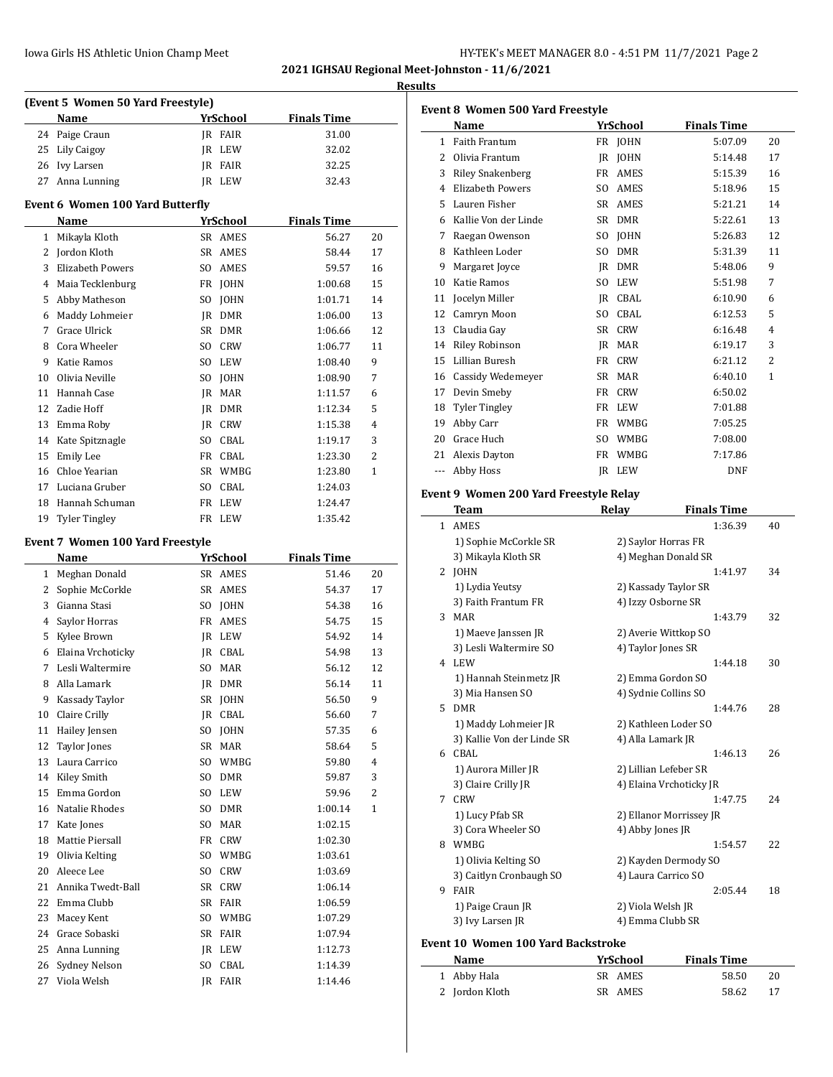| IY-TEK's MEET MANAGER 8.0 - 4:51 PM 11/7/2021 Page 2 |
|------------------------------------------------------|
|------------------------------------------------------|

**2021 IGHSAU Regional Meet-Johnston - 11/6/2021 Results**

|              | (Event 5 Women 50 Yard Freestyle) |                |             |                    |                |
|--------------|-----------------------------------|----------------|-------------|--------------------|----------------|
|              | Name                              |                | YrSchool    | <b>Finals Time</b> |                |
| 24           | Paige Craun                       |                | IR FAIR     | 31.00              |                |
| 25           | Lily Caigoy                       | IR             | LEW         | 32.02              |                |
| 26           | Ivy Larsen                        | IR             | FAIR        | 32.25              |                |
| 27           | Anna Lunning                      | IR.            | LEW         | 32.43              |                |
|              | Event 6 Women 100 Yard Butterfly  |                |             |                    |                |
|              | Name                              |                | YrSchool    | <b>Finals Time</b> |                |
| $\mathbf{1}$ | Mikayla Kloth                     |                | SR AMES     | 56.27              | 20             |
| 2            | Jordon Kloth                      | SR.            | AMES        | 58.44              | 17             |
| 3            | <b>Elizabeth Powers</b>           | SO.            | AMES        | 59.57              | 16             |
| 4            | Maia Tecklenburg                  | FR             | <b>JOHN</b> | 1:00.68            | 15             |
| 5            | Abby Matheson                     | S <sub>0</sub> | <b>JOHN</b> | 1:01.71            | 14             |
| 6            | Maddy Lohmeier                    | IR             | <b>DMR</b>  | 1:06.00            | 13             |
| 7            | Grace Ulrick                      | <b>SR</b>      | <b>DMR</b>  | 1:06.66            | 12             |
| 8            | Cora Wheeler                      | SO.            | <b>CRW</b>  | 1:06.77            | 11             |
| 9            | Katie Ramos                       | S <sub>O</sub> | LEW         | 1:08.40            | 9              |
| 10           | Olivia Neville                    | SO.            | JOHN        | 1:08.90            | 7              |
| 11           | Hannah Case                       | IR             | MAR         | 1:11.57            | 6              |
| 12           | Zadie Hoff                        | IR.            | <b>DMR</b>  | 1:12.34            | 5              |
| 13           | Emma Roby                         | IR.            | <b>CRW</b>  | 1:15.38            | $\overline{4}$ |
| 14           | Kate Spitznagle                   | SO.            | CBAL        | 1:19.17            | 3              |
| 15           | <b>Emily Lee</b>                  | FR             | CBAL        | 1:23.30            | $\overline{2}$ |
| 16           | Chloe Yearian                     | SR             | WMBG        | 1:23.80            | $\mathbf{1}$   |
| 17           | Luciana Gruber                    | SO.            | CBAL        | 1:24.03            |                |
| 18           | Hannah Schuman                    | FR             | <b>LEW</b>  | 1:24.47            |                |
| 19           | <b>Tyler Tingley</b>              | FR             | LEW         | 1:35.42            |                |

#### **Event 7 Women 100 Yard Freestyle**

 $\overline{a}$ 

|              | Name              |                | YrSchool    | <b>Finals Time</b> |                |
|--------------|-------------------|----------------|-------------|--------------------|----------------|
| $\mathbf{1}$ | Meghan Donald     | SR             | AMES        | 51.46              | 20             |
| 2            | Sophie McCorkle   | SR             | AMES        | 54.37              | 17             |
| 3            | Gianna Stasi      | S <sub>O</sub> | <b>JOHN</b> | 54.38              | 16             |
| 4            | Saylor Horras     | FR             | AMES        | 54.75              | 15             |
| 5            | Kylee Brown       | <b>IR</b>      | LEW         | 54.92              | 14             |
| 6            | Elaina Vrchoticky | <b>IR</b>      | CBAL        | 54.98              | 13             |
| 7            | Lesli Waltermire  | S <sub>0</sub> | <b>MAR</b>  | 56.12              | 12             |
| 8            | Alla Lamark       | <b>IR</b>      | <b>DMR</b>  | 56.14              | 11             |
| 9            | Kassady Taylor    | <b>SR</b>      | <b>JOHN</b> | 56.50              | 9              |
| 10           | Claire Crilly     | <b>JR</b>      | CBAL        | 56.60              | 7              |
| 11           | Hailey Jensen     | S <sub>0</sub> | <b>JOHN</b> | 57.35              | 6              |
| 12           | Taylor Jones      | <b>SR</b>      | <b>MAR</b>  | 58.64              | 5              |
| 13           | Laura Carrico     | S <sub>0</sub> | <b>WMBG</b> | 59.80              | 4              |
| 14           | Kiley Smith       | S <sub>0</sub> | <b>DMR</b>  | 59.87              | 3              |
| 15           | Emma Gordon       | S <sub>O</sub> | LEW         | 59.96              | $\overline{2}$ |
| 16           | Natalie Rhodes    | S <sub>0</sub> | <b>DMR</b>  | 1:00.14            | $\mathbf{1}$   |
| 17           | Kate Jones        | S <sub>O</sub> | MAR         | 1:02.15            |                |
| 18           | Mattie Piersall   | FR             | <b>CRW</b>  | 1:02.30            |                |
| 19           | Olivia Kelting    | S <sub>0</sub> | WMBG        | 1:03.61            |                |
| 20           | Aleece Lee        | S <sub>O</sub> | <b>CRW</b>  | 1:03.69            |                |
| 21           | Annika Twedt-Ball | <b>SR</b>      | <b>CRW</b>  | 1:06.14            |                |
| 22           | Emma Clubb        | <b>SR</b>      | <b>FAIR</b> | 1:06.59            |                |
| 23           | Macey Kent        | S <sub>O</sub> | WMBG        | 1:07.29            |                |
| 24           | Grace Sobaski     | <b>SR</b>      | <b>FAIR</b> | 1:07.94            |                |
| 25           | Anna Lunning      | <b>JR</b>      | LEW         | 1:12.73            |                |
| 26           | Sydney Nelson     | S <sub>0</sub> | CBAL        | 1:14.39            |                |
| 27           | Viola Welsh       | IR             | <b>FAIR</b> | 1:14.46            |                |

| <b>Event 8 Women 500 Yard Freestyle</b> |                         |                |                 |                    |                |
|-----------------------------------------|-------------------------|----------------|-----------------|--------------------|----------------|
|                                         | Name                    |                | <b>YrSchool</b> | <b>Finals Time</b> |                |
| $\mathbf{1}$                            | <b>Faith Frantum</b>    |                | FR JOHN         | 5:07.09            | 20             |
| 2                                       | Olivia Frantum          | IR             | <b>IOHN</b>     | 5:14.48            | 17             |
| 3                                       | <b>Riley Snakenberg</b> | FR             | <b>AMES</b>     | 5:15.39            | 16             |
| 4                                       | <b>Elizabeth Powers</b> | S <sub>O</sub> | AMES            | 5:18.96            | 15             |
| 5                                       | Lauren Fisher           | SR             | AMES            | 5:21.21            | 14             |
| 6                                       | Kallie Von der Linde    | SR             | <b>DMR</b>      | 5:22.61            | 13             |
| 7                                       | Raegan Owenson          | SO.            | <b>JOHN</b>     | 5:26.83            | 12             |
| 8                                       | Kathleen Loder          | SO.            | <b>DMR</b>      | 5:31.39            | 11             |
| 9                                       | Margaret Joyce          | IR             | <b>DMR</b>      | 5:48.06            | 9              |
| 10                                      | Katie Ramos             | S <sub>O</sub> | <b>LEW</b>      | 5:51.98            | 7              |
| 11                                      | Jocelyn Miller          | IR             | CBAL            | 6:10.90            | 6              |
| 12                                      | Camryn Moon             | SO.            | CBAL            | 6:12.53            | 5              |
| 13                                      | Claudia Gay             | <b>SR</b>      | <b>CRW</b>      | 6:16.48            | 4              |
| 14                                      | Riley Robinson          | IR             | <b>MAR</b>      | 6:19.17            | 3              |
| 15                                      | Lillian Buresh          | FR             | <b>CRW</b>      | 6:21.12            | $\overline{2}$ |
| 16                                      | Cassidy Wedemeyer       | <b>SR</b>      | <b>MAR</b>      | 6:40.10            | 1              |
| 17                                      | Devin Smeby             | FR             | <b>CRW</b>      | 6:50.02            |                |
| 18                                      | <b>Tyler Tingley</b>    | FR             | <b>LEW</b>      | 7:01.88            |                |
| 19                                      | Abby Carr               | FR             | <b>WMBG</b>     | 7:05.25            |                |
| 20                                      | Grace Huch              | SO.            | <b>WMBG</b>     | 7:08.00            |                |
| 21                                      | Alexis Dayton           | FR             | <b>WMBG</b>     | 7:17.86            |                |
| ---                                     | <b>Abby Hoss</b>        | IR             | <b>LEW</b>      | <b>DNF</b>         |                |

# **Event 9 Women 200 Yard Freestyle Relay**

|              | Team                             | Relay                   | <b>Finals Time</b> |    |
|--------------|----------------------------------|-------------------------|--------------------|----|
| $\mathbf{1}$ | AMES                             |                         | 1:36.39            | 40 |
|              | 1) Sophie McCorkle SR            | 2) Saylor Horras FR     |                    |    |
|              | 3) Mikayla Kloth SR              | 4) Meghan Donald SR     |                    |    |
| 2            | <b>JOHN</b>                      |                         | 1:41.97            | 34 |
|              | 1) Lydia Yeutsy                  | 2) Kassady Taylor SR    |                    |    |
|              | 3) Faith Frantum FR              | 4) Izzy Osborne SR      |                    |    |
| 3            | <b>MAR</b>                       |                         | 1:43.79            | 32 |
|              | 1) Maeve Janssen JR              | 2) Averie Wittkop SO    |                    |    |
|              | 3) Lesli Waltermire SO           | 4) Taylor Jones SR      |                    |    |
| 4            | <b>LEW</b>                       |                         | 1:44.18            | 30 |
|              | 1) Hannah Steinmetz JR           | 2) Emma Gordon SO       |                    |    |
|              | 3) Mia Hansen SO                 | 4) Sydnie Collins SO    |                    |    |
| 5.           | <b>DMR</b>                       |                         | 1:44.76            | 28 |
|              | 1) Maddy Lohmeier JR             | 2) Kathleen Loder SO    |                    |    |
|              | 3) Kallie Von der Linde SR       | 4) Alla Lamark JR       |                    |    |
| 6            | CBAL                             |                         | 1:46.13            | 26 |
|              | 1) Aurora Miller JR              | 2) Lillian Lefeber SR   |                    |    |
|              | 3) Claire Crilly JR              | 4) Elaina Vrchoticky JR |                    |    |
| 7            | <b>CRW</b>                       |                         | 1:47.75            | 24 |
|              | 1) Lucy Pfab SR                  | 2) Ellanor Morrissey JR |                    |    |
|              | 3) Cora Wheeler SO               | 4) Abby Jones JR        |                    |    |
| 8            | <b>WMBG</b>                      |                         | 1:54.57            | 22 |
|              | 1) Olivia Kelting SO             | 2) Kayden Dermody SO    |                    |    |
|              | 3) Caitlyn Cronbaugh SO          | 4) Laura Carrico SO     |                    |    |
| 9            | <b>FAIR</b>                      |                         | 2:05.44            | 18 |
|              | 1) Paige Craun JR                | 2) Viola Welsh JR       |                    |    |
|              | 3) Ivy Larsen JR                 | 4) Emma Clubb SR        |                    |    |
|              | ant 10 Waman 100 Vard Rackstroka |                         |                    |    |

# **Event 10 Women 100 Yard Backstroke**

| Name           | YrSchool | <b>Finals Time</b> |    |
|----------------|----------|--------------------|----|
| 1 Abby Hala    | SR AMES  | 58.50              | 20 |
| 2 Jordon Kloth | SR AMES  | 58.62              | 17 |